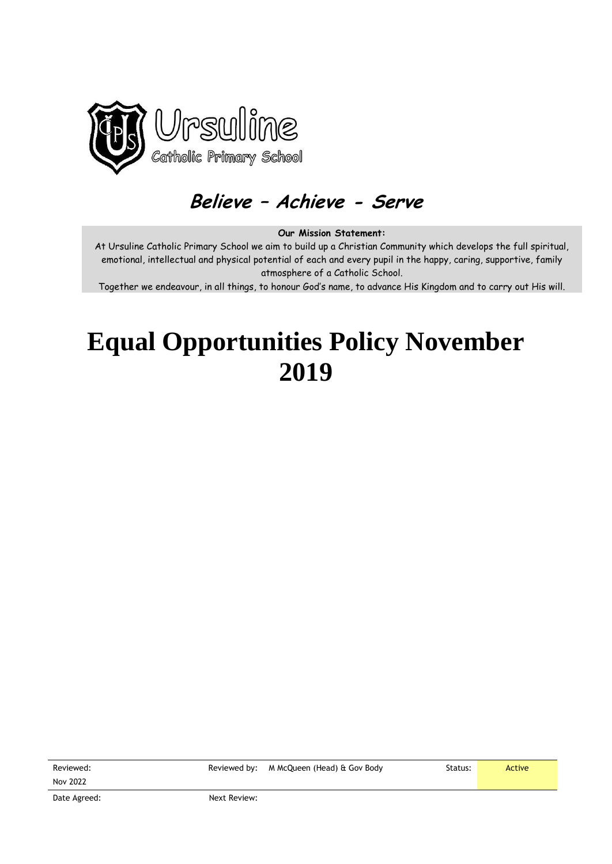

# **Believe – Achieve - Serve**

#### **Our Mission Statement:**

At Ursuline Catholic Primary School we aim to build up a Christian Community which develops the full spiritual, emotional, intellectual and physical potential of each and every pupil in the happy, caring, supportive, family atmosphere of a Catholic School.

Together we endeavour, in all things, to honour God's name, to advance His Kingdom and to carry out His will.

# **Equal Opportunities Policy November 2019**

Reviewed: Nov 2022

Reviewed by: M McQueen (Head) & Gov Body Status: Status: Active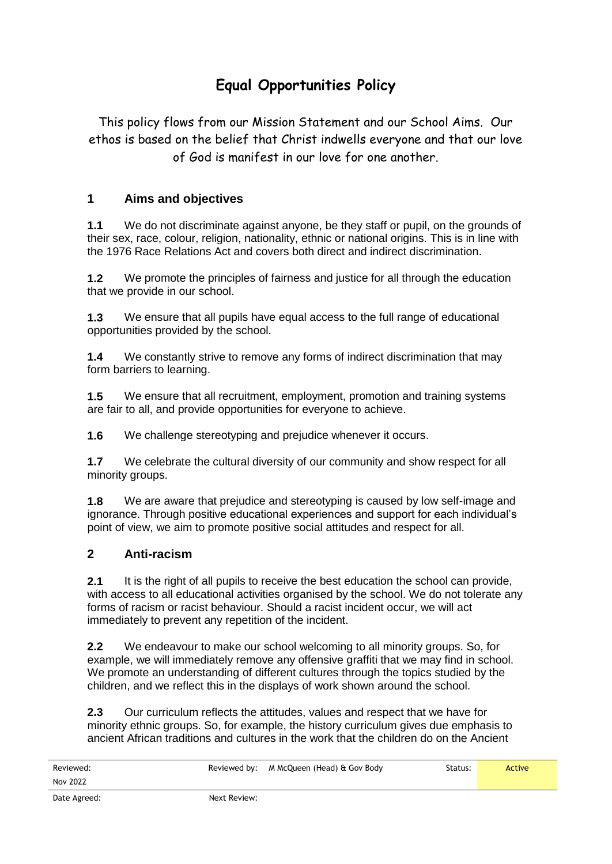## **Equal Opportunities Policy**

This policy flows from our Mission Statement and our School Aims. Our ethos is based on the belief that Christ indwells everyone and that our love of God is manifest in our love for one another.

### **1 Aims and objectives**

**1.1** We do not discriminate against anyone, be they staff or pupil, on the grounds of their sex, race, colour, religion, nationality, ethnic or national origins. This is in line with the 1976 Race Relations Act and covers both direct and indirect discrimination.

**1.2** We promote the principles of fairness and justice for all through the education that we provide in our school.

**1.3** We ensure that all pupils have equal access to the full range of educational opportunities provided by the school.

**1.4** We constantly strive to remove any forms of indirect discrimination that may form barriers to learning.

**1.5** We ensure that all recruitment, employment, promotion and training systems are fair to all, and provide opportunities for everyone to achieve.

**1.6** We challenge stereotyping and prejudice whenever it occurs.

**1.7** We celebrate the cultural diversity of our community and show respect for all minority groups.

**1.8** We are aware that prejudice and stereotyping is caused by low self-image and ignorance. Through positive educational experiences and support for each individual's point of view, we aim to promote positive social attitudes and respect for all.

#### **2 Anti-racism**

**2.1** It is the right of all pupils to receive the best education the school can provide, with access to all educational activities organised by the school. We do not tolerate any forms of racism or racist behaviour. Should a racist incident occur, we will act immediately to prevent any repetition of the incident.

**2.2** We endeavour to make our school welcoming to all minority groups. So, for example, we will immediately remove any offensive graffiti that we may find in school. We promote an understanding of different cultures through the topics studied by the children, and we reflect this in the displays of work shown around the school.

**2.3** Our curriculum reflects the attitudes, values and respect that we have for minority ethnic groups. So, for example, the history curriculum gives due emphasis to ancient African traditions and cultures in the work that the children do on the Ancient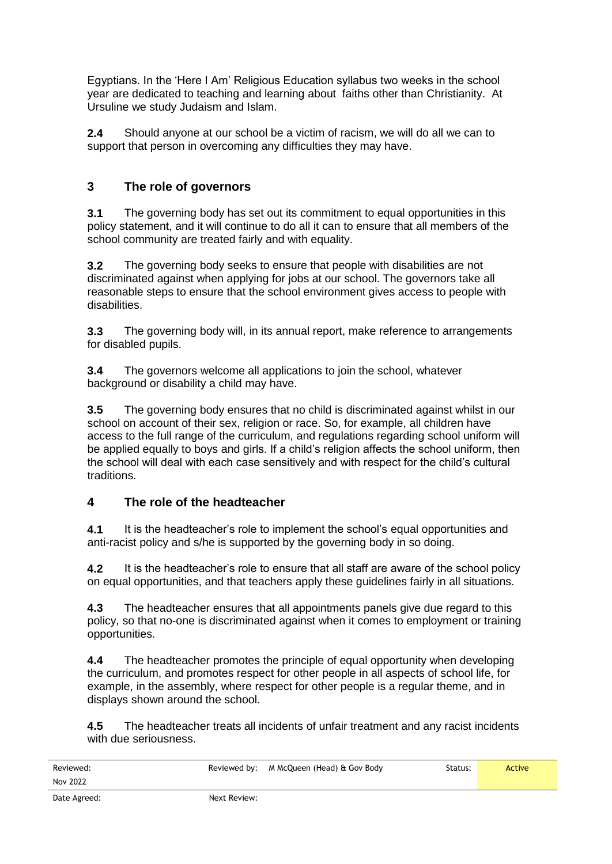Egyptians. In the 'Here I Am' Religious Education syllabus two weeks in the school year are dedicated to teaching and learning about faiths other than Christianity. At Ursuline we study Judaism and Islam.

**2.4** Should anyone at our school be a victim of racism, we will do all we can to support that person in overcoming any difficulties they may have.

## **3 The role of governors**

**3.1** The governing body has set out its commitment to equal opportunities in this policy statement, and it will continue to do all it can to ensure that all members of the school community are treated fairly and with equality.

**3.2** The governing body seeks to ensure that people with disabilities are not discriminated against when applying for jobs at our school. The governors take all reasonable steps to ensure that the school environment gives access to people with disabilities.

**3.3** The governing body will, in its annual report, make reference to arrangements for disabled pupils.

**3.4** The governors welcome all applications to join the school, whatever background or disability a child may have.

**3.5** The governing body ensures that no child is discriminated against whilst in our school on account of their sex, religion or race. So, for example, all children have access to the full range of the curriculum, and regulations regarding school uniform will be applied equally to boys and girls. If a child's religion affects the school uniform, then the school will deal with each case sensitively and with respect for the child's cultural traditions.

### **4 The role of the headteacher**

**4.1** It is the headteacher's role to implement the school's equal opportunities and anti-racist policy and s/he is supported by the governing body in so doing.

**4.2** It is the headteacher's role to ensure that all staff are aware of the school policy on equal opportunities, and that teachers apply these guidelines fairly in all situations.

**4.3** The headteacher ensures that all appointments panels give due regard to this policy, so that no-one is discriminated against when it comes to employment or training opportunities.

**4.4** The headteacher promotes the principle of equal opportunity when developing the curriculum, and promotes respect for other people in all aspects of school life, for example, in the assembly, where respect for other people is a regular theme, and in displays shown around the school.

**4.5** The headteacher treats all incidents of unfair treatment and any racist incidents with due seriousness.

| Reviewed:    |              | Reviewed by: M McQueen (Head) & Gov Body | Status: | Active |
|--------------|--------------|------------------------------------------|---------|--------|
| Nov 2022     |              |                                          |         |        |
| Date Agreed: | Next Review: |                                          |         |        |